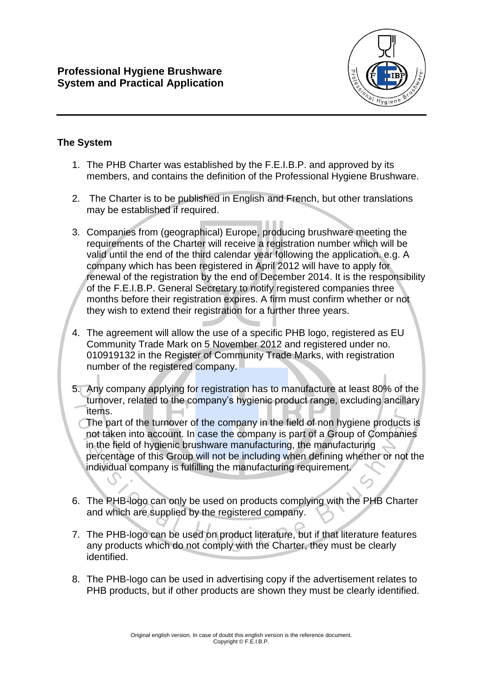

## **The System**

- 1. The PHB Charter was established by the F.E.I.B.P. and approved by its members, and contains the definition of the Professional Hygiene Brushware.
- 2. The Charter is to be published in English and French, but other translations may be established if required.
- 3. Companies from (geographical) Europe, producing brushware meeting the requirements of the Charter will receive a registration number which will be valid until the end of the third calendar year following the application. e.g. A company which has been registered in April 2012 will have to apply for renewal of the registration by the end of December 2014. It is the responsibility of the F.E.I.B.P. General Secretary to notify registered companies three months before their registration expires. A firm must confirm whether or not they wish to extend their registration for a further three years.
- 4. The agreement will allow the use of a specific PHB logo, registered as EU Community Trade Mark on 5 November 2012 and registered under no. 010919132 in the Register of Community Trade Marks, with registration number of the registered company.
- 5. Any company applying for registration has to manufacture at least 80% of the turnover, related to the company's hygienic product range, excluding ancillary items.
	- The part of the turnover of the company in the field of non hygiene products is not taken into account. In case the company is part of a Group of Companies in the field of hygienic brushware manufacturing, the manufacturing percentage of this Group will not be including when defining whether or not the individual company is fulfilling the manufacturing requirement.
- 6. The PHB-logo can only be used on products complying with the PHB Charter and which are supplied by the registered company.
- 7. The PHB-logo can be used on product literature, but if that literature features any products which do not comply with the Charter, they must be clearly identified.
- 8. The PHB-logo can be used in advertising copy if the advertisement relates to PHB products, but if other products are shown they must be clearly identified.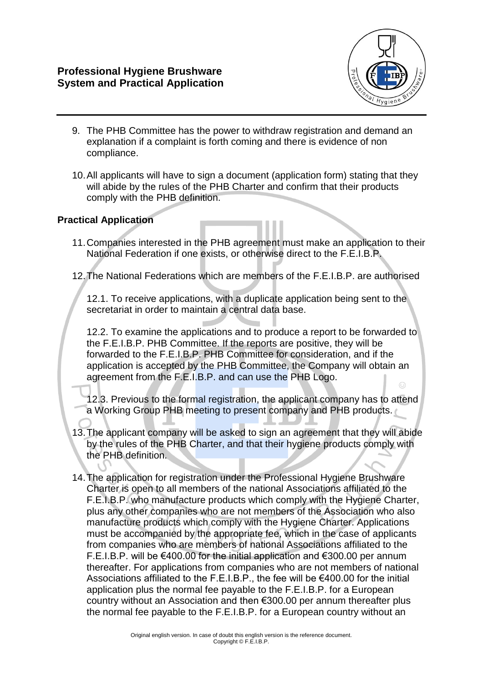

- 9. The PHB Committee has the power to withdraw registration and demand an explanation if a complaint is forth coming and there is evidence of non compliance.
- 10.All applicants will have to sign a document (application form) stating that they will abide by the rules of the PHB Charter and confirm that their products comply with the PHB definition.

## **Practical Application**

- 11.Companies interested in the PHB agreement must make an application to their National Federation if one exists, or otherwise direct to the F.E.I.B.P.
- 12.The National Federations which are members of the F.E.I.B.P. are authorised

12.1. To receive applications, with a duplicate application being sent to the secretariat in order to maintain a central data base.

12.2. To examine the applications and to produce a report to be forwarded to the F.E.I.B.P. PHB Committee. If the reports are positive, they will be forwarded to the F.E.I.B.P. PHB Committee for consideration, and if the application is accepted by the PHB Committee, the Company will obtain an agreement from the F.E.I.B.P. and can use the PHB Logo.

12.3. Previous to the formal registration, the applicant company has to attend a Working Group PHB meeting to present company and PHB products.

- 13.The applicant company will be asked to sign an agreement that they will abide by the rules of the PHB Charter, and that their hygiene products comply with the PHB definition.
- 14.The application for registration under the Professional Hygiene Brushware Charter is open to all members of the national Associations affiliated to the F.E.I.B.P. who manufacture products which comply with the Hygiene Charter, plus any other companies who are not members of the Association who also manufacture products which comply with the Hygiene Charter. Applications must be accompanied by the appropriate fee, which in the case of applicants from companies who are members of national Associations affiliated to the F.E.I.B.P. will be €400.00 for the initial application and €300.00 per annum thereafter. For applications from companies who are not members of national Associations affiliated to the F.E.I.B.P., the fee will be €400.00 for the initial application plus the normal fee payable to the F.E.I.B.P. for a European country without an Association and then €300.00 per annum thereafter plus the normal fee payable to the F.E.I.B.P. for a European country without an